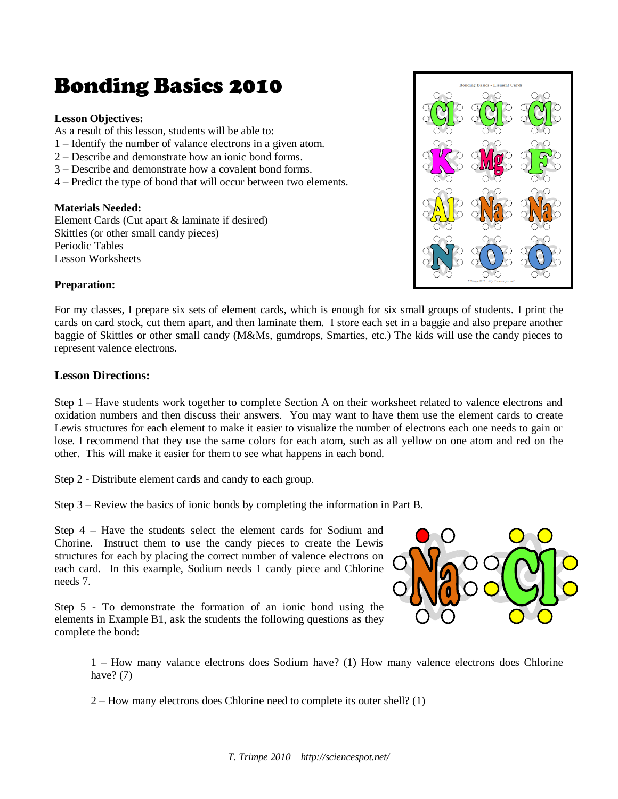# Bonding Basics 2010

#### **Lesson Objectives:**

As a result of this lesson, students will be able to:

- 1 Identify the number of valance electrons in a given atom.
- 2 Describe and demonstrate how an ionic bond forms.
- 3 Describe and demonstrate how a covalent bond forms.
- 4 Predict the type of bond that will occur between two elements.

#### **Materials Needed:**

Element Cards (Cut apart & laminate if desired) Skittles (or other small candy pieces) Periodic Tables Lesson Worksheets



#### **Preparation:**

For my classes, I prepare six sets of element cards, which is enough for six small groups of students. I print the cards on card stock, cut them apart, and then laminate them. I store each set in a baggie and also prepare another baggie of Skittles or other small candy (M&Ms, gumdrops, Smarties, etc.) The kids will use the candy pieces to represent valence electrons.

#### **Lesson Directions:**

Step 1 – Have students work together to complete Section A on their worksheet related to valence electrons and oxidation numbers and then discuss their answers. You may want to have them use the element cards to create Lewis structures for each element to make it easier to visualize the number of electrons each one needs to gain or lose. I recommend that they use the same colors for each atom, such as all yellow on one atom and red on the other. This will make it easier for them to see what happens in each bond.

Step 2 - Distribute element cards and candy to each group.

Step 3 – Review the basics of ionic bonds by completing the information in Part B.

Step 4 – Have the students select the element cards for Sodium and Chorine. Instruct them to use the candy pieces to create the Lewis structures for each by placing the correct number of valence electrons on each card. In this example, Sodium needs 1 candy piece and Chlorine needs 7.

Step 5 - To demonstrate the formation of an ionic bond using the elements in Example B1, ask the students the following questions as they complete the bond:



1 – How many valance electrons does Sodium have? (1) How many valence electrons does Chlorine have?  $(7)$ 

2 – How many electrons does Chlorine need to complete its outer shell? (1)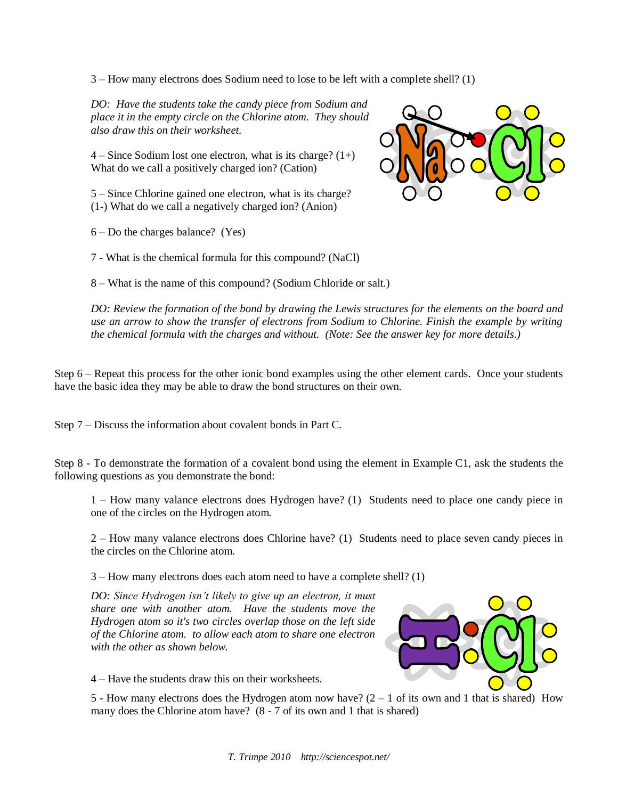3 – How many electrons does Sodium need to lose to be left with a complete shell? (1)

*DO: Have the students take the candy piece from Sodium and place it in the empty circle on the Chlorine atom. They should also draw this on their worksheet.*

 $4 -$  Since Sodium lost one electron, what is its charge?  $(1+)$ What do we call a positively charged ion? (Cation)

5 – Since Chlorine gained one electron, what is its charge? (1-) What do we call a negatively charged ion? (Anion)

6 – Do the charges balance? (Yes)

7 - What is the chemical formula for this compound? (NaCl)

8 – What is the name of this compound? (Sodium Chloride or salt.)

*DO: Review the formation of the bond by drawing the Lewis structures for the elements on the board and use an arrow to show the transfer of electrons from Sodium to Chlorine. Finish the example by writing the chemical formula with the charges and without. (Note: See the answer key for more details.)*

Step 6 – Repeat this process for the other ionic bond examples using the other element cards. Once your students have the basic idea they may be able to draw the bond structures on their own.

Step 7 – Discuss the information about covalent bonds in Part C.

Step 8 - To demonstrate the formation of a covalent bond using the element in Example C1, ask the students the following questions as you demonstrate the bond:

1 – How many valance electrons does Hydrogen have? (1) Students need to place one candy piece in one of the circles on the Hydrogen atom.

2 – How many valance electrons does Chlorine have? (1) Students need to place seven candy pieces in the circles on the Chlorine atom.

3 – How many electrons does each atom need to have a complete shell? (1)

*DO: Since Hydrogen isn't likely to give up an electron, it must share one with another atom. Have the students move the Hydrogen atom so it's two circles overlap those on the left side of the Chlorine atom. to allow each atom to share one electron with the other as shown below.* 



4 – Have the students draw this on their worksheets.

5 - How many electrons does the Hydrogen atom now have?  $(2 - 1)$  of its own and 1 that is shared) How many does the Chlorine atom have? (8 - 7 of its own and 1 that is shared)

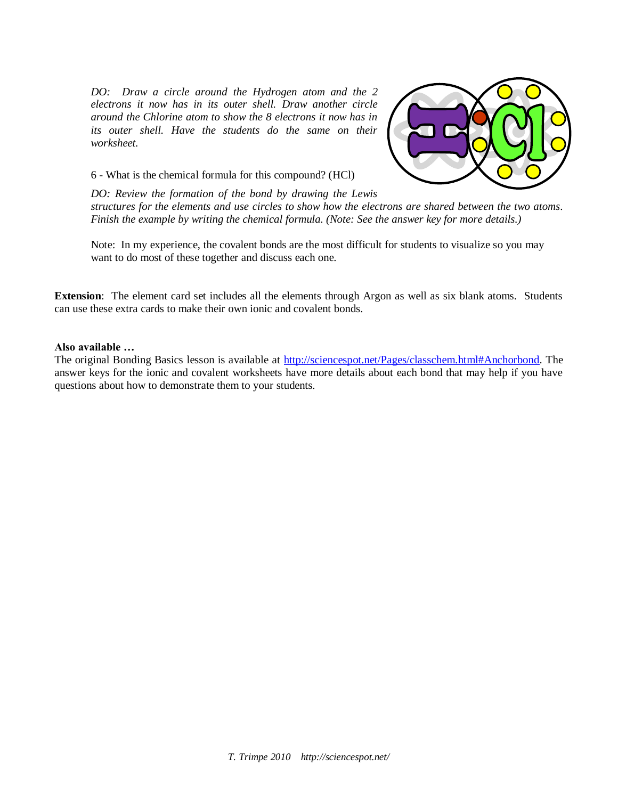*DO: Draw a circle around the Hydrogen atom and the 2 electrons it now has in its outer shell. Draw another circle around the Chlorine atom to show the 8 electrons it now has in its outer shell. Have the students do the same on their worksheet.*



6 - What is the chemical formula for this compound? (HCl)

*DO: Review the formation of the bond by drawing the Lewis structures for the elements and use circles to show how the electrons are shared between the two atoms. Finish the example by writing the chemical formula. (Note: See the answer key for more details.)*

Note: In my experience, the covalent bonds are the most difficult for students to visualize so you may want to do most of these together and discuss each one.

**Extension**: The element card set includes all the elements through Argon as well as six blank atoms. Students can use these extra cards to make their own ionic and covalent bonds.

#### **Also available …**

The original Bonding Basics lesson is available at [http://sciencespot.net/Pages/classchem.html#Anchorbond.](http://sciencespot.net/Pages/classchem.html#Anchorbond) The answer keys for the ionic and covalent worksheets have more details about each bond that may help if you have questions about how to demonstrate them to your students.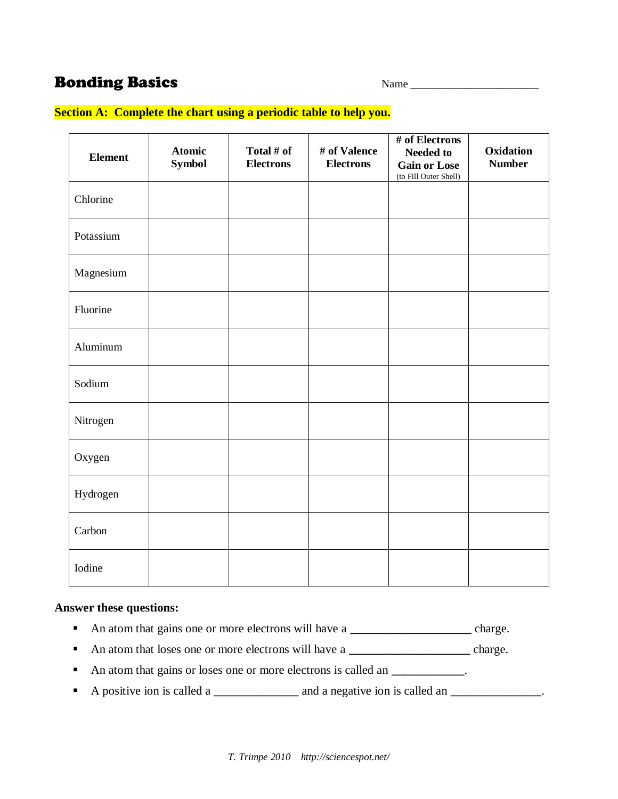## **Bonding Basics**

| Name |
|------|
|------|

### **Section A: Complete the chart using a periodic table to help you.**

| <b>Element</b> | <b>Atomic</b><br><b>Symbol</b> | Total # of<br><b>Electrons</b> | # of Valence<br><b>Electrons</b> | # of Electrons<br><b>Needed to</b><br><b>Gain or Lose</b><br>(to Fill Outer Shell) | Oxidation<br><b>Number</b> |
|----------------|--------------------------------|--------------------------------|----------------------------------|------------------------------------------------------------------------------------|----------------------------|
| Chlorine       |                                |                                |                                  |                                                                                    |                            |
| Potassium      |                                |                                |                                  |                                                                                    |                            |
| Magnesium      |                                |                                |                                  |                                                                                    |                            |
| Fluorine       |                                |                                |                                  |                                                                                    |                            |
| Aluminum       |                                |                                |                                  |                                                                                    |                            |
| Sodium         |                                |                                |                                  |                                                                                    |                            |
| Nitrogen       |                                |                                |                                  |                                                                                    |                            |
| Oxygen         |                                |                                |                                  |                                                                                    |                            |
| Hydrogen       |                                |                                |                                  |                                                                                    |                            |
| Carbon         |                                |                                |                                  |                                                                                    |                            |
| Iodine         |                                |                                |                                  |                                                                                    |                            |

#### **Answer these questions:**

- An atom that gains one or more electrons will have a **\_\_\_\_\_\_\_\_\_\_\_\_\_\_\_** charge.
- An atom that loses one or more electrons will have a <u>charge.</u>
- An atom that gains or loses one or more electrons is called an **\_\_\_\_\_\_\_\_\_**.
- A positive ion is called a **\_\_\_\_\_\_\_\_\_\_\_** and a negative ion is called an **\_\_\_\_\_\_\_**\_\_\_\_\_\_\_.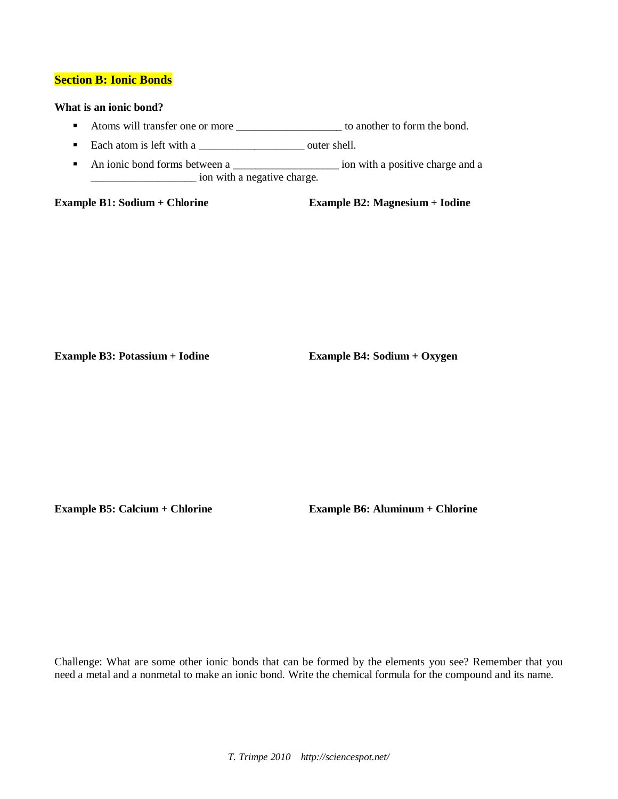#### **Section B: Ionic Bonds**

#### **What is an ionic bond?**

- Atoms will transfer one or more \_\_\_\_\_\_\_\_\_\_\_\_\_\_\_\_\_\_\_ to another to form the bond.
- Each atom is left with a \_\_\_\_\_\_\_\_\_\_\_\_\_\_\_\_\_\_\_ outer shell.
- An ionic bond forms between a \_\_\_\_\_\_\_\_\_\_\_\_\_\_\_\_\_\_\_ ion with a positive charge and a \_\_\_\_\_\_\_\_\_\_\_\_\_\_\_\_\_\_\_ ion with a negative charge.

**Example B1: Sodium + Chlorine Example B2: Magnesium + Iodine**

**Example B3: Potassium + Iodine Example B4: Sodium + Oxygen**

**Example B5: Calcium + Chlorine Example B6: Aluminum + Chlorine**

Challenge: What are some other ionic bonds that can be formed by the elements you see? Remember that you need a metal and a nonmetal to make an ionic bond. Write the chemical formula for the compound and its name.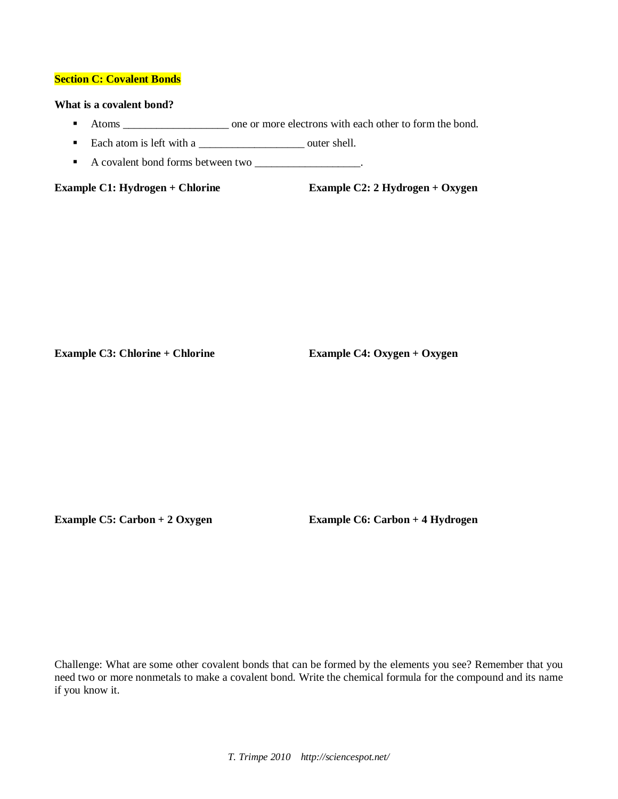#### **Section C: Covalent Bonds**

#### **What is a covalent bond?**

- Atoms \_\_\_\_\_\_\_\_\_\_\_\_\_\_\_\_\_\_\_ one or more electrons with each other to form the bond.
- Each atom is left with a \_\_\_\_\_\_\_\_\_\_\_\_\_\_\_\_\_\_\_ outer shell.
- A covalent bond forms between two \_\_\_\_\_\_\_\_\_\_\_\_\_\_\_\_\_\_.

**Example C1: Hydrogen + Chlorine Example C2: 2 Hydrogen + Oxygen**

**Example C3: Chlorine + Chlorine Example C4: Oxygen + Oxygen** 

**Example C5: Carbon + 2 Oxygen Example C6: Carbon + 4 Hydrogen**

Challenge: What are some other covalent bonds that can be formed by the elements you see? Remember that you need two or more nonmetals to make a covalent bond. Write the chemical formula for the compound and its name if you know it.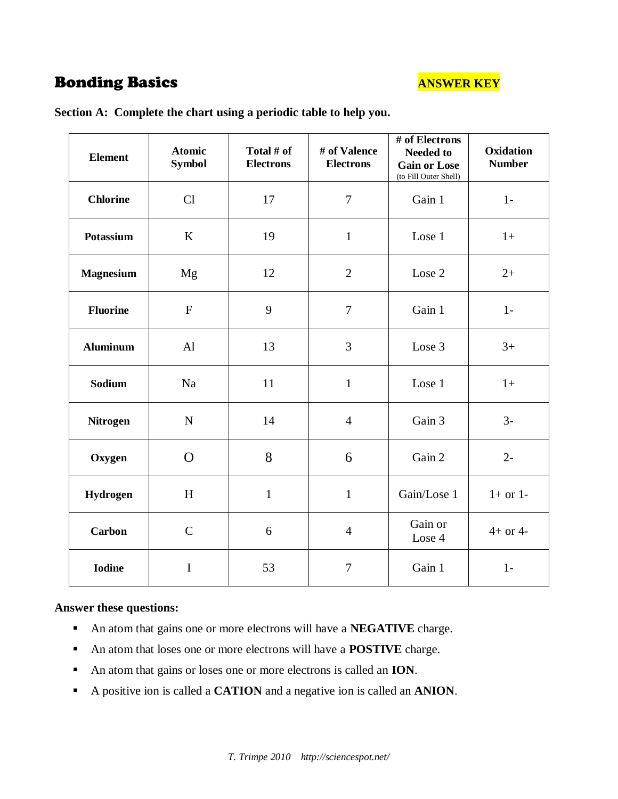## **Bonding Basics ANSWER KEY**

| <b>Element</b>   | <b>Atomic</b><br><b>Symbol</b> | Total # of<br><b>Electrons</b> | # of Valence<br><b>Electrons</b> | # of Electrons<br><b>Needed to</b><br><b>Gain or Lose</b><br>(to Fill Outer Shell) | Oxidation<br><b>Number</b> |
|------------------|--------------------------------|--------------------------------|----------------------------------|------------------------------------------------------------------------------------|----------------------------|
| <b>Chlorine</b>  | Cl                             | 17                             | $\overline{7}$                   | Gain 1                                                                             | $1-$                       |
| <b>Potassium</b> | K                              | 19                             | $\mathbf{1}$                     | Lose 1                                                                             | $1+$                       |
| <b>Magnesium</b> | Mg                             | 12                             | $\overline{2}$                   | Lose 2                                                                             | $2+$                       |
| <b>Fluorine</b>  | $\mathbf{F}$                   | 9                              | $\overline{7}$                   | Gain 1                                                                             | $1-$                       |
| <b>Aluminum</b>  | Al                             | 13                             | $\mathfrak{Z}$                   | Lose 3                                                                             | $3+$                       |
| Sodium           | Na                             | 11                             | $\mathbf{1}$                     | Lose 1                                                                             | $1+$                       |
| <b>Nitrogen</b>  | $\mathbf N$                    | 14                             | $\overline{4}$                   | Gain 3                                                                             | $3-$                       |
| Oxygen           | $\Omega$                       | 8                              | 6                                | Gain 2                                                                             | $2 -$                      |
| Hydrogen         | H                              | $\mathbf{1}$                   | $\mathbf{1}$                     | Gain/Lose 1                                                                        | $1+$ or $1-$               |
| <b>Carbon</b>    | $\mathsf{C}$                   | 6                              | $\overline{4}$                   | Gain or<br>Lose 4                                                                  | $4+$ or $4-$               |
| <b>Iodine</b>    | $\mathbf I$                    | 53                             | $\boldsymbol{7}$                 | Gain 1                                                                             | $1-$                       |

**Section A: Complete the chart using a periodic table to help you.** 

#### **Answer these questions:**

- An atom that gains one or more electrons will have a **NEGATIVE** charge.
- An atom that loses one or more electrons will have a **POSTIVE** charge.
- An atom that gains or loses one or more electrons is called an **ION**.
- A positive ion is called a **CATION** and a negative ion is called an **ANION**.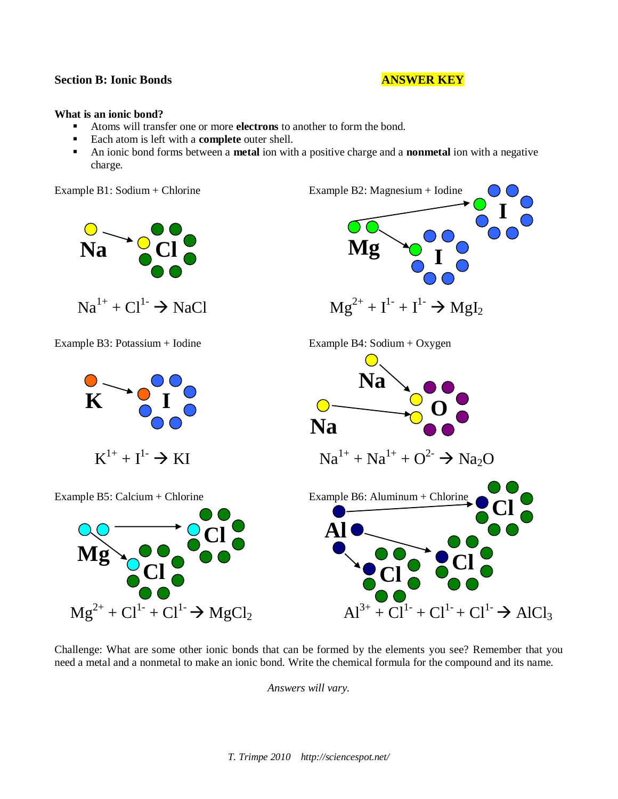### **Section B: Ionic Bonds ANSWER KEY**

#### **What is an ionic bond?**

- Atoms will transfer one or more **electrons** to another to form the bond.
- Each atom is left with a **complete** outer shell.
- An ionic bond forms between a **metal** ion with a positive charge and a **nonmetal** ion with a negative charge.

Example B1: Sodium + Chlorine Example B2: Magnesium + Iodine



Challenge: What are some other ionic bonds that can be formed by the elements you see? Remember that you need a metal and a nonmetal to make an ionic bond. Write the chemical formula for the compound and its name.

*Answers will vary.*